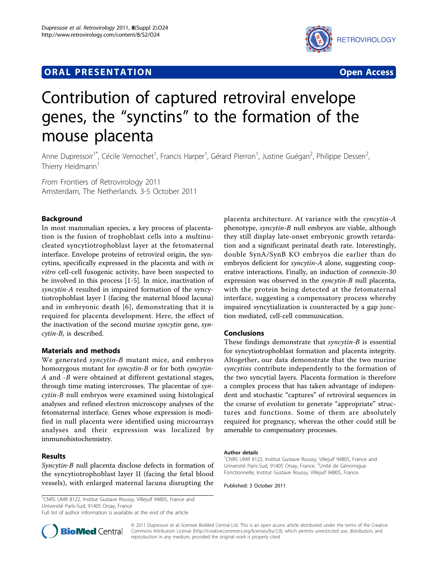# **ORAL PRESENTATION CONSUMING A RESENTATION**



# Contribution of captured retroviral envelope genes, the "synctins" to the formation of the mouse placenta

Anne Dupressoir<sup>1\*</sup>, Cécile Vernochet<sup>1</sup>, Francis Harper<sup>1</sup>, Gérard Pierron<sup>1</sup>, Justine Guégan<sup>2</sup>, Philippe Dessen<sup>2</sup> , Thierry Heidmann<sup>1</sup>

From Frontiers of Retrovirology 2011 Amsterdam, The Netherlands. 3-5 October 2011

# Background

In most mammalian species, a key process of placentation is the fusion of trophoblast cells into a multinucleated syncytiotrophoblast layer at the fetomaternal interface. Envelope proteins of retroviral origin, the syncytins, specifically expressed in the placenta and with in vitro cell-cell fusogenic activity, have been suspected to be involved in this process [[1-5](#page-1-0)]. In mice, inactivation of syncytin-A resulted in impaired formation of the syncytiotrophoblast layer I (facing the maternal blood lacuna) and in embryonic death [[6\]](#page-1-0), demonstrating that it is required for placenta development. Here, the effect of the inactivation of the second murine syncytin gene, syncytin-B, is described.

## Materials and methods

We generated syncytin-B mutant mice, and embryos homozygous mutant for syncytin-B or for both syncytin-A and -B were obtained at different gestational stages, through time mating intercrosses. The placentae of syncytin-B null embryos were examined using histological analyses and refined electron microscopy analyses of the fetomaternal interface. Genes whose expression is modified in null placenta were identified using microarrays analyses and their expression was localized by immunohistochemistry.

#### Results

Syncytin-B null placenta disclose defects in formation of the syncytiotrophoblast layer II (facing the fetal blood vessels), with enlarged maternal lacuna disrupting the

placenta architecture. At variance with the syncytin-A phenotype, syncytin-B null embryos are viable, although they still display late-onset embryonic growth retardation and a significant perinatal death rate. Interestingly, double SynA/SynB KO embryos die earlier than do embryos deficient for syncytin-A alone, suggesting cooperative interactions. Finally, an induction of connexin-30 expression was observed in the syncytin-B null placenta, with the protein being detected at the fetomaternal interface, suggesting a compensatory process whereby impaired syncytialization is counteracted by a gap junction mediated, cell-cell communication.

## Conclusions

These findings demonstrate that syncytin-B is essential for syncytiotrophoblast formation and placenta integrity. Altogether, our data demonstrate that the two murine syncytins contribute independently to the formation of the two syncytial layers. Placenta formation is therefore a complex process that has taken advantage of independent and stochastic "captures" of retroviral sequences in the course of evolution to generate "appropriate" structures and functions. Some of them are absolutely required for pregnancy, whereas the other could still be amenable to compensatory processes.

#### Author details

<sup>1</sup>CNRS UMR 8122, Institut Gustave Roussy, Villejuif 94805, France and Université París-Sud, 91405 Orsay, France. <sup>2</sup>Unité de Génomigue Fonctionnelle, Institut Gustave Roussy, Villejuif 94805, France.

Published: 3 October 2011

<sup>1</sup>CNRS UMR 8122, Institut Gustave Roussy, Villejuif 94805, France and Université París-Sud, 91405 Orsay, France

Full list of author information is available at the end of the article



© 2011 Dupressoir et al; licensee BioMed Central Ltd. This is an open access article distributed under the terms of the Creative Commons Attribution License [\(http://creativecommons.org/licenses/by/2.0](http://creativecommons.org/licenses/by/2.0)), which permits unrestricted use, distribution, and reproduction in any medium, provided the original work is properly cited.